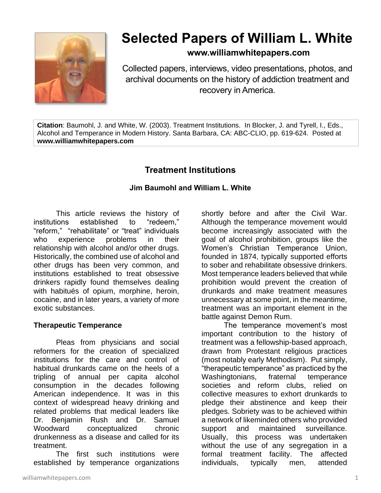

# **Selected Papers of William L. White**

**www.williamwhitepapers.com**

Collected papers, interviews, video presentations, photos, and archival documents on the history of addiction treatment and recovery in America.

**Citation**: Baumohl, J. and White, W. (2003). Treatment Institutions. In Blocker, J. and Tyrell, I., Eds., Alcohol and Temperance in Modern History. Santa Barbara, CA: ABC-CLIO, pp. 619-624. Posted at **www.williamwhitepapers.com**

## **Treatment Institutions**

#### **Jim Baumohl and William L. White**

This article reviews the history of institutions established to "redeem," "reform," "rehabilitate" or "treat" individuals who experience problems in their relationship with alcohol and/or other drugs. Historically, the combined use of alcohol and other drugs has been very common, and institutions established to treat obsessive drinkers rapidly found themselves dealing with habitués of opium, morphine, heroin, cocaine, and in later years, a variety of more exotic substances.

#### **Therapeutic Temperance**

Pleas from physicians and social reformers for the creation of specialized institutions for the care and control of habitual drunkards came on the heels of a tripling of annual per capita alcohol consumption in the decades following American independence. It was in this context of widespread heavy drinking and related problems that medical leaders like Dr. Benjamin Rush and Dr. Samuel Woodward conceptualized chronic drunkenness as a disease and called for its treatment.

The first such institutions were established by temperance organizations shortly before and after the Civil War. Although the temperance movement would become increasingly associated with the goal of alcohol prohibition, groups like the Women's Christian Temperance Union, founded in 1874, typically supported efforts to sober and rehabilitate obsessive drinkers. Most temperance leaders believed that while prohibition would prevent the creation of drunkards and make treatment measures unnecessary at some point, in the meantime, treatment was an important element in the battle against Demon Rum.

The temperance movement's most important contribution to the history of treatment was a fellowship-based approach, drawn from Protestant religious practices (most notably early Methodism). Put simply, "therapeutic temperance" as practiced by the Washingtonians, fraternal temperance societies and reform clubs, relied on collective measures to exhort drunkards to pledge their abstinence and keep their pledges. Sobriety was to be achieved within a network of likeminded others who provided support and maintained surveillance. Usually, this process was undertaken without the use of any segregation in a formal treatment facility. The affected individuals, typically men, attended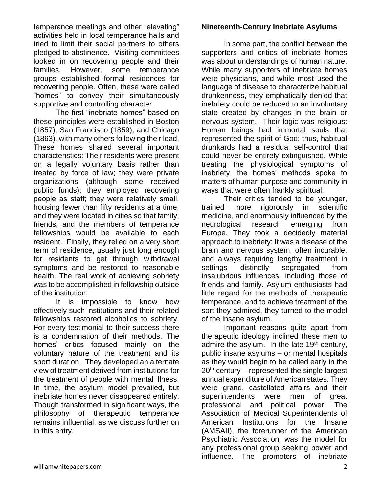temperance meetings and other "elevating" activities held in local temperance halls and tried to limit their social partners to others pledged to abstinence. Visiting committees looked in on recovering people and their families. However, some temperance groups established formal residences for recovering people. Often, these were called "homes" to convey their simultaneously supportive and controlling character.

The first "inebriate homes" based on these principles were established in Boston (1857), San Francisco (1859), and Chicago (1863), with many others following their lead. These homes shared several important characteristics: Their residents were present on a legally voluntary basis rather than treated by force of law; they were private organizations (although some received public funds); they employed recovering people as staff; they were relatively small, housing fewer than fifty residents at a time; and they were located in cities so that family, friends, and the members of temperance fellowships would be available to each resident. Finally, they relied on a very short term of residence, usually just long enough for residents to get through withdrawal symptoms and be restored to reasonable health. The real work of achieving sobriety was to be accomplished in fellowship outside of the institution.

It is impossible to know how effectively such institutions and their related fellowships restored alcoholics to sobriety. For every testimonial to their success there is a condemnation of their methods. The homes' critics focused mainly on the voluntary nature of the treatment and its short duration. They developed an alternate view of treatment derived from institutions for the treatment of people with mental illness. In time, the asylum model prevailed, but inebriate homes never disappeared entirely. Though transformed in significant ways, the philosophy of therapeutic temperance remains influential, as we discuss further on in this entry.

### **Nineteenth-Century Inebriate Asylums**

In some part, the conflict between the supporters and critics of inebriate homes was about understandings of human nature. While many supporters of inebriate homes were physicians, and while most used the language of disease to characterize habitual drunkenness, they emphatically denied that inebriety could be reduced to an involuntary state created by changes in the brain or nervous system. Their logic was religious: Human beings had immortal souls that represented the spirit of God; thus, habitual drunkards had a residual self-control that could never be entirely extinguished. While treating the physiological symptoms of inebriety, the homes' methods spoke to matters of human purpose and community in ways that were often frankly spiritual.

Their critics tended to be younger, trained more rigorously in scientific medicine, and enormously influenced by the neurological research emerging from Europe. They took a decidedly material approach to inebriety: It was a disease of the brain and nervous system, often incurable, and always requiring lengthy treatment in settings distinctly segregated from insalubrious influences, including those of friends and family. Asylum enthusiasts had little regard for the methods of therapeutic temperance, and to achieve treatment of the sort they admired, they turned to the model of the insane asylum.

Important reasons quite apart from therapeutic ideology inclined these men to admire the asylum. In the late  $19<sup>th</sup>$  century, public insane asylums – or mental hospitals as they would begin to be called early in the  $20<sup>th</sup>$  century – represented the single largest annual expenditure of American states. They were grand, castellated affairs and their superintendents were men of great professional and political power. The Association of Medical Superintendents of American Institutions for the Insane (AMSAII), the forerunner of the American Psychiatric Association, was the model for any professional group seeking power and influence. The promoters of inebriate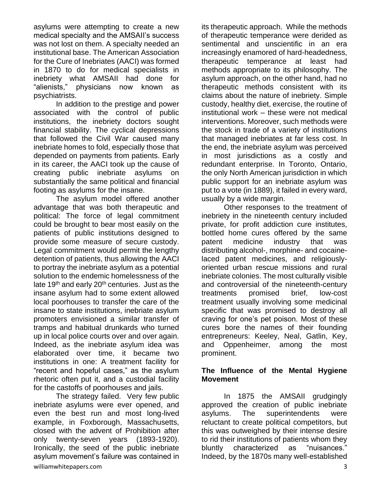asylums were attempting to create a new medical specialty and the AMSAII's success was not lost on them. A specialty needed an institutional base. The American Association for the Cure of Inebriates (AACI) was formed in 1870 to do for medical specialists in inebriety what AMSAII had done for "alienists," physicians now known as psychiatrists.

In addition to the prestige and power associated with the control of public institutions, the inebriety doctors sought financial stability. The cyclical depressions that followed the Civil War caused many inebriate homes to fold, especially those that depended on payments from patients. Early in its career, the AACI took up the cause of creating public inebriate asylums on substantially the same political and financial footing as asylums for the insane.

The asylum model offered another advantage that was both therapeutic and political: The force of legal commitment could be brought to bear most easily on the patients of public institutions designed to provide some measure of secure custody. Legal commitment would permit the lengthy detention of patients, thus allowing the AACI to portray the inebriate asylum as a potential solution to the endemic homelessness of the late 19<sup>th</sup> and early  $20<sup>th</sup>$  centuries. Just as the insane asylum had to some extent allowed local poorhouses to transfer the care of the insane to state institutions, inebriate asylum promoters envisioned a similar transfer of tramps and habitual drunkards who turned up in local police courts over and over again. Indeed, as the inebriate asylum idea was elaborated over time, it became two institutions in one: A treatment facility for "recent and hopeful cases," as the asylum rhetoric often put it, and a custodial facility for the castoffs of poorhouses and jails.

williamwhitepapers.com 3 The strategy failed. Very few public inebriate asylums were ever opened, and even the best run and most long-lived example, in Foxborough, Massachusetts, closed with the advent of Prohibition after only twenty-seven years (1893-1920). Ironically, the seed of the public inebriate asylum movement's failure was contained in

its therapeutic approach. While the methods of therapeutic temperance were derided as sentimental and unscientific in an era increasingly enamored of hard-headedness, therapeutic temperance at least had methods appropriate to its philosophy. The asylum approach, on the other hand, had no therapeutic methods consistent with its claims about the nature of inebriety. Simple custody, healthy diet, exercise, the routine of institutional work – these were not medical interventions. Moreover, such methods were the stock in trade of a variety of institutions that managed inebriates at far less cost. In the end, the inebriate asylum was perceived in most jurisdictions as a costly and redundant enterprise. In Toronto, Ontario, the only North American jurisdiction in which public support for an inebriate asylum was put to a vote (in 1889), it failed in every ward, usually by a wide margin.

Other responses to the treatment of inebriety in the nineteenth century included private, for profit addiction cure institutes, bottled home cures offered by the same patent medicine industry that was distributing alcohol-, morphine- and cocainelaced patent medicines, and religiouslyoriented urban rescue missions and rural inebriate colonies. The most culturally visible and controversial of the nineteenth-century treatments promised brief, low-cost treatment usually involving some medicinal specific that was promised to destroy all craving for one's pet poison. Most of these cures bore the names of their founding entrepreneurs: Keeley, Neal, Gatlin, Key, and Oppenheimer, among the most prominent.

#### **The Influence of the Mental Hygiene Movement**

In 1875 the AMSAII grudgingly approved the creation of public inebriate asylums. The superintendents were reluctant to create political competitors, but this was outweighed by their intense desire to rid their institutions of patients whom they bluntly characterized as "nuisances." Indeed, by the 1870s many well-established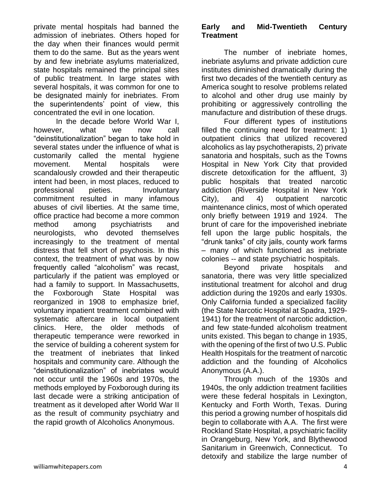private mental hospitals had banned the admission of inebriates. Others hoped for the day when their finances would permit them to do the same. But as the years went by and few inebriate asylums materialized, state hospitals remained the principal sites of public treatment. In large states with several hospitals, it was common for one to be designated mainly for inebriates. From the superintendents' point of view, this concentrated the evil in one location.

In the decade before World War I, however, what we now call "deinstitutionalization" began to take hold in several states under the influence of what is customarily called the mental hygiene movement. Mental hospitals were scandalously crowded and their therapeutic intent had been, in most places, reduced to professional pieties. Involuntary commitment resulted in many infamous abuses of civil liberties. At the same time, office practice had become a more common method among psychiatrists and neurologists, who devoted themselves increasingly to the treatment of mental distress that fell short of psychosis. In this context, the treatment of what was by now frequently called "alcoholism" was recast, particularly if the patient was employed or had a family to support. In Massachusetts, the Foxborough State Hospital was reorganized in 1908 to emphasize brief, voluntary inpatient treatment combined with systematic aftercare in local outpatient clinics. Here, the older methods of therapeutic temperance were reworked in the service of building a coherent system for the treatment of inebriates that linked hospitals and community care. Although the "deinstitutionalization" of inebriates would not occur until the 1960s and 1970s, the methods employed by Foxborough during its last decade were a striking anticipation of treatment as it developed after World War II as the result of community psychiatry and the rapid growth of Alcoholics Anonymous.

#### **Early and Mid-Twentieth Century Treatment**

The number of inebriate homes, inebriate asylums and private addiction cure institutes diminished dramatically during the first two decades of the twentieth century as America sought to resolve problems related to alcohol and other drug use mainly by prohibiting or aggressively controlling the manufacture and distribution of these drugs.

Four different types of institutions filled the continuing need for treatment: 1) outpatient clinics that utilized recovered alcoholics as lay psychotherapists, 2) private sanatoria and hospitals, such as the Towns Hospital in New York City that provided discrete detoxification for the affluent, 3) public hospitals that treated narcotic addiction (Riverside Hospital in New York City), and 4) outpatient narcotic maintenance clinics, most of which operated only briefly between 1919 and 1924. The brunt of care for the impoverished inebriate fell upon the large public hospitals, the "drunk tanks" of city jails, county work farms – many of which functioned as inebriate colonies -- and state psychiatric hospitals.

Beyond private hospitals and sanatoria, there was very little specialized institutional treatment for alcohol and drug addiction during the 1920s and early 1930s. Only California funded a specialized facility (the State Narcotic Hospital at Spadra, 1929- 1941) for the treatment of narcotic addiction, and few state-funded alcoholism treatment units existed. This began to change in 1935, with the opening of the first of two U.S. Public Health Hospitals for the treatment of narcotic addiction and the founding of Alcoholics Anonymous (A.A.).

Through much of the 1930s and 1940s, the only addiction treatment facilities were these federal hospitals in Lexington, Kentucky and Forth Worth, Texas. During this period a growing number of hospitals did begin to collaborate with A.A. The first were Rockland State Hospital, a psychiatric facility in Orangeburg, New York, and Blythewood Sanitarium in Greenwich, Connecticut. To detoxify and stabilize the large number of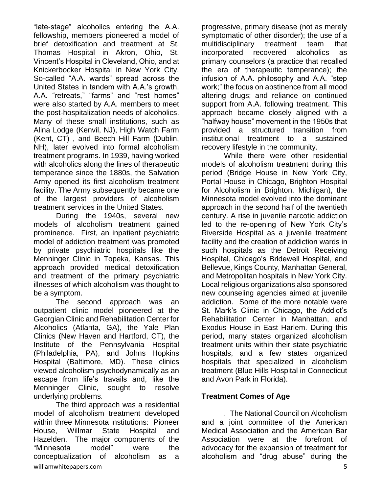"late-stage" alcoholics entering the A.A. fellowship, members pioneered a model of brief detoxification and treatment at St. Thomas Hospital in Akron, Ohio, St. Vincent's Hospital in Cleveland, Ohio, and at Knickerbocker Hospital in New York City. So-called "A.A. wards" spread across the United States in tandem with A.A.'s growth. A.A. "retreats," "farms" and "rest homes" were also started by A.A. members to meet the post-hospitalization needs of alcoholics. Many of these small institutions, such as Alina Lodge (Kenvil, NJ), High Watch Farm (Kent, CT) , and Beech Hill Farm (Dublin, NH), later evolved into formal alcoholism treatment programs. In 1939, having worked with alcoholics along the lines of therapeutic temperance since the 1880s, the Salvation Army opened its first alcoholism treatment facility. The Army subsequently became one of the largest providers of alcoholism treatment services in the United States.

During the 1940s, several new models of alcoholism treatment gained prominence. First, an inpatient psychiatric model of addiction treatment was promoted by private psychiatric hospitals like the Menninger Clinic in Topeka, Kansas. This approach provided medical detoxification and treatment of the primary psychiatric illnesses of which alcoholism was thought to be a symptom.

The second approach was an outpatient clinic model pioneered at the Georgian Clinic and Rehabilitation Center for Alcoholics (Atlanta, GA), the Yale Plan Clinics (New Haven and Hartford, CT), the Institute of the Pennsylvania Hospital (Philadelphia, PA), and Johns Hopkins Hospital (Baltimore, MD). These clinics viewed alcoholism psychodynamically as an escape from life's travails and, like the Menninger Clinic, sought to resolve underlying problems.

williamwhitepapers.com 5 The third approach was a residential model of alcoholism treatment developed within three Minnesota institutions: Pioneer House, Willmar State Hospital and Hazelden. The major components of the "Minnesota model" were the conceptualization of alcoholism as a

progressive, primary disease (not as merely symptomatic of other disorder); the use of a multidisciplinary treatment team that incorporated recovered alcoholics as primary counselors (a practice that recalled the era of therapeutic temperance); the infusion of A.A. philosophy and A.A. "step work;" the focus on abstinence from all mood altering drugs; and reliance on continued support from A.A. following treatment. This approach became closely aligned with a "halfway house" movement in the 1950s that provided a structured transition from institutional treatment to a sustained recovery lifestyle in the community.

While there were other residential models of alcoholism treatment during this period (Bridge House in New York City, Portal House in Chicago, Brighton Hospital for Alcoholism in Brighton, Michigan), the Minnesota model evolved into the dominant approach in the second half of the twentieth century. A rise in juvenile narcotic addiction led to the re-opening of New York City's Riverside Hospital as a juvenile treatment facility and the creation of addiction wards in such hospitals as the Detroit Receiving Hospital, Chicago's Bridewell Hospital, and Bellevue, Kings County, Manhattan General, and Metropolitan hospitals in New York City. Local religious organizations also sponsored new counseling agencies aimed at juvenile addiction. Some of the more notable were St. Mark's Clinic in Chicago, the Addict's Rehabilitation Center in Manhattan, and Exodus House in East Harlem. During this period, many states organized alcoholism treatment units within their state psychiatric hospitals, and a few states organized hospitals that specialized in alcoholism treatment (Blue Hills Hospital in Connecticut and Avon Park in Florida).

#### **Treatment Comes of Age**

. The National Council on Alcoholism and a joint committee of the American Medical Association and the American Bar Association were at the forefront of advocacy for the expansion of treatment for alcoholism and "drug abuse" during the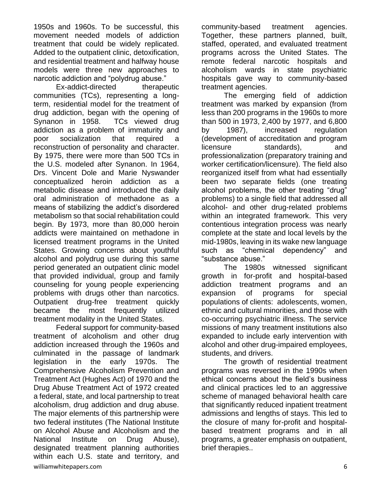1950s and 1960s. To be successful, this movement needed models of addiction treatment that could be widely replicated. Added to the outpatient clinic, detoxification, and residential treatment and halfway house models were three new approaches to narcotic addiction and "polydrug abuse."

Ex-addict-directed therapeutic communities (TCs), representing a longterm, residential model for the treatment of drug addiction, began with the opening of Synanon in 1958. TCs viewed drug addiction as a problem of immaturity and poor socialization that required a reconstruction of personality and character. By 1975, there were more than 500 TCs in the U.S. modeled after Synanon. In 1964, Drs. Vincent Dole and Marie Nyswander conceptualized heroin addiction as a metabolic disease and introduced the daily oral administration of methadone as a means of stabilizing the addict's disordered metabolism so that social rehabilitation could begin. By 1973, more than 80,000 heroin addicts were maintained on methadone in licensed treatment programs in the United States. Growing concerns about youthful alcohol and polydrug use during this same period generated an outpatient clinic model that provided individual, group and family counseling for young people experiencing problems with drugs other than narcotics. Outpatient drug-free treatment quickly became the most frequently utilized treatment modality in the United States.

williamwhitepapers.com 6 Federal support for community-based treatment of alcoholism and other drug addiction increased through the 1960s and culminated in the passage of landmark legislation in the early 1970s. The Comprehensive Alcoholism Prevention and Treatment Act (Hughes Act) of 1970 and the Drug Abuse Treatment Act of 1972 created a federal, state, and local partnership to treat alcoholism, drug addiction and drug abuse. The major elements of this partnership were two federal institutes (The National Institute on Alcohol Abuse and Alcoholism and the National Institute on Drug Abuse), designated treatment planning authorities within each U.S. state and territory, and

community-based treatment agencies. Together, these partners planned, built, staffed, operated, and evaluated treatment programs across the United States. The remote federal narcotic hospitals and alcoholism wards in state psychiatric hospitals gave way to community-based treatment agencies.

The emerging field of addiction treatment was marked by expansion (from less than 200 programs in the 1960s to more than 500 in 1973, 2,400 by 1977, and 6,800 by 1987), increased regulation (development of accreditation and program licensure standards), and professionalization (preparatory training and worker certification/licensure). The field also reorganized itself from what had essentially been two separate fields (one treating alcohol problems, the other treating "drug" problems) to a single field that addressed all alcohol- and other drug-related problems within an integrated framework. This very contentious integration process was nearly complete at the state and local levels by the mid-1980s, leaving in its wake new language such as "chemical dependency" and "substance abuse."

The 1980s witnessed significant growth in for-profit and hospital-based addiction treatment programs and an expansion of programs for special populations of clients: adolescents, women, ethnic and cultural minorities, and those with co-occurring psychiatric illness. The service missions of many treatment institutions also expanded to include early intervention with alcohol and other drug-impaired employees, students, and drivers.

The growth of residential treatment programs was reversed in the 1990s when ethical concerns about the field's business and clinical practices led to an aggressive scheme of managed behavioral health care that significantly reduced inpatient treatment admissions and lengths of stays. This led to the closure of many for-profit and hospitalbased treatment programs and in all programs, a greater emphasis on outpatient, brief therapies..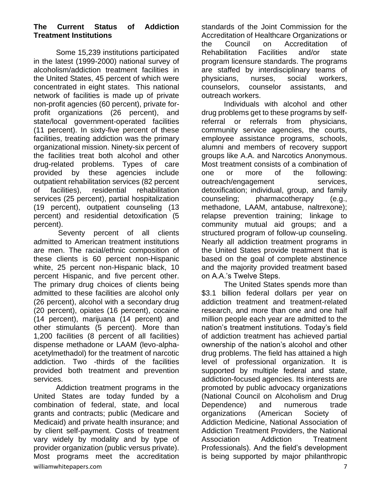#### **The Current Status of Addiction Treatment Institutions**

Some 15,239 institutions participated in the latest (1999-2000) national survey of alcoholism/addiction treatment facilities in the United States, 45 percent of which were concentrated in eight states. This national network of facilities is made up of private non-profit agencies (60 percent), private forprofit organizations (26 percent), and state/local government-operated facilities (11 percent). In sixty-five percent of these facilities, treating addiction was the primary organizational mission. Ninety-six percent of the facilities treat both alcohol and other drug-related problems. Types of care provided by these agencies include outpatient rehabilitation services (82 percent of facilities), residential rehabilitation services (25 percent), partial hospitalization (19 percent), outpatient counseling (13 percent) and residential detoxification (5 percent).

Seventy percent of all clients admitted to American treatment institutions are men. The racial/ethnic composition of these clients is 60 percent non-Hispanic white, 25 percent non-Hispanic black, 10 percent Hispanic, and five percent other. The primary drug choices of clients being admitted to these facilities are alcohol only (26 percent), alcohol with a secondary drug (20 percent), opiates (16 percent), cocaine (14 percent), marijuana (14 percent) and other stimulants (5 percent). More than 1,200 facilities (8 percent of all facilities) dispense methadone or LAAM (levo-alphaacetylmethadol) for the treatment of narcotic addiction. Two -thirds of the facilities provided both treatment and prevention services.

williamwhitepapers.com **7** Addiction treatment programs in the United States are today funded by a combination of federal, state, and local grants and contracts; public (Medicare and Medicaid) and private health insurance; and by client self-payment. Costs of treatment vary widely by modality and by type of provider organization (public versus private). Most programs meet the accreditation

standards of the Joint Commission for the Accreditation of Healthcare Organizations or the Council on Accreditation of Rehabilitation Facilities and/or state program licensure standards. The programs are staffed by interdisciplinary teams of physicians, nurses, social workers, counselors, counselor assistants, and outreach workers.

Individuals with alcohol and other drug problems get to these programs by selfreferral or referrals from physicians, community service agencies, the courts, employee assistance programs, schools, alumni and members of recovery support groups like A.A. and Narcotics Anonymous. Most treatment consists of a combination of one or more of the following: outreach/engagement services, detoxification; individual, group, and family counseling; pharmacotherapy (e.g., methadone, LAAM, antabuse, naltrexone); relapse prevention training; linkage to community mutual aid groups; and a structured program of follow-up counseling. Nearly all addiction treatment programs in the United States provide treatment that is based on the goal of complete abstinence and the majority provided treatment based on A.A.'s Twelve Steps.

The United States spends more than \$3.1 billion federal dollars per year on addiction treatment and treatment-related research, and more than one and one half million people each year are admitted to the nation's treatment institutions. Today's field of addiction treatment has achieved partial ownership of the nation's alcohol and other drug problems. The field has attained a high level of professional organization. It is supported by multiple federal and state, addiction-focused agencies. Its interests are promoted by public advocacy organizations (National Council on Alcoholism and Drug Dependence) and numerous trade organizations (American Society of Addiction Medicine, National Association of Addiction Treatment Providers, the National Association Addiction Treatment Professionals). And the field's development is being supported by major philanthropic